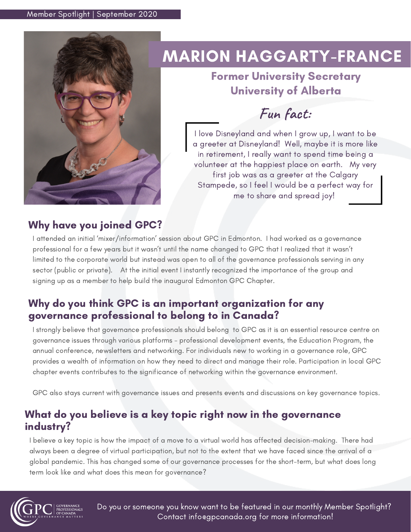

# MARION HAGGARTY-FRANCE

# Former University Secretary University of Alberta

**Fun fact:**

I love Disneyland and when I grow up, I want to be a greeter at Disneyland! Well, maybe it is more like in retirement, I really want to spend time being a volunteer at the happiest place on earth. My very first job was as a greeter at the Calgary Stampede, so I feel I would be a perfect way for me to share and spread joy!

## Why have you joined GPC?

I attended an initial 'mixer/information' session about GPC in Edmonton. I had worked as a governance professional for a few years but it wasn't until the name changed to GPC that I realized that it wasn't limited to the corporate world but instead was open to all of the governance professionals serving in any sector (public or private). At the initial event I instantly recognized the importance of the group and signing up as a member to help build the inaugural Edmonton GPC Chapter.

### Why do you think GPC is an important organization for any governance professional to belong to in Canada?

I strongly believe that governance professionals should belong to GPC as it is an essential resource centre on governance issues through various platforms - professional development events, the Education Program, the annual conference, newsletters and networking. For individuals new to working in a governance role, GPC provides a wealth of information on how they need to direct and manage their role. Participation in local GPC chapter events contributes to the significance of networking within the governance environment.

GPC also stays current with governance issues and presents events and discussions on key governance topics.

### What do you believe is a key topic right now in the governance industry?

I believe a key topic is how the impact of a move to a virtual world has affected decision-making. There had always been a degree of virtual participation, but not to the extent that we have faced since the arrival of a global pandemic. This has changed some of our governance processes for the short-term, but what does long term look like and what does this mean for governance?